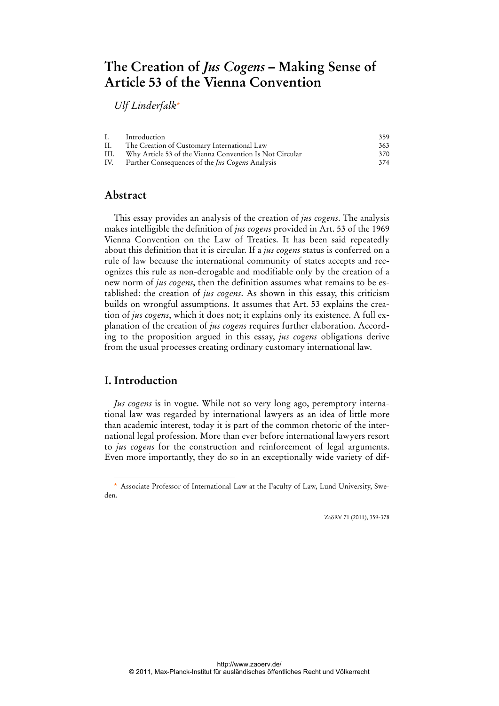# **The Creation of** *Jus Cogens* **– Making Sense of Article 53 of the Vienna Convention**

*Ulf Linderfalk*\*

| Ι.   | Introduction                                            | 359 |
|------|---------------------------------------------------------|-----|
| II.  | The Creation of Customary International Law             | 363 |
| III. | Why Article 53 of the Vienna Convention Is Not Circular | 370 |
| IV.  | Further Consequences of the <i>Jus Cogens</i> Analysis  | 374 |

### **Abstract**

This essay provides an analysis of the creation of *jus cogens*. The analysis makes intelligible the definition of *jus cogens* provided in Art. 53 of the 1969 Vienna Convention on the Law of Treaties. It has been said repeatedly about this definition that it is circular. If a *jus cogens* status is conferred on a rule of law because the international community of states accepts and recognizes this rule as non-derogable and modifiable only by the creation of a new norm of *jus cogens*, then the definition assumes what remains to be established: the creation of *jus cogens*. As shown in this essay, this criticism builds on wrongful assumptions. It assumes that Art. 53 explains the creation of *jus cogens*, which it does not; it explains only its existence. A full explanation of the creation of *jus cogens* requires further elaboration. According to the proposition argued in this essay, *jus cogens* obligations derive from the usual processes creating ordinary customary international law.

### **I. Introduction**

 $\overline{a}$ 

*Jus cogens* is in vogue. While not so very long ago, peremptory international law was regarded by international lawyers as an idea of little more than academic interest, today it is part of the common rhetoric of the international legal profession. More than ever before international lawyers resort to *jus cogens* for the construction and reinforcement of legal arguments. Even more importantly, they do so in an exceptionally wide variety of dif-

ZaöRV 71 (2011), 359-378

<sup>\*</sup> Associate Professor of International Law at the Faculty of Law, Lund University, Sweden.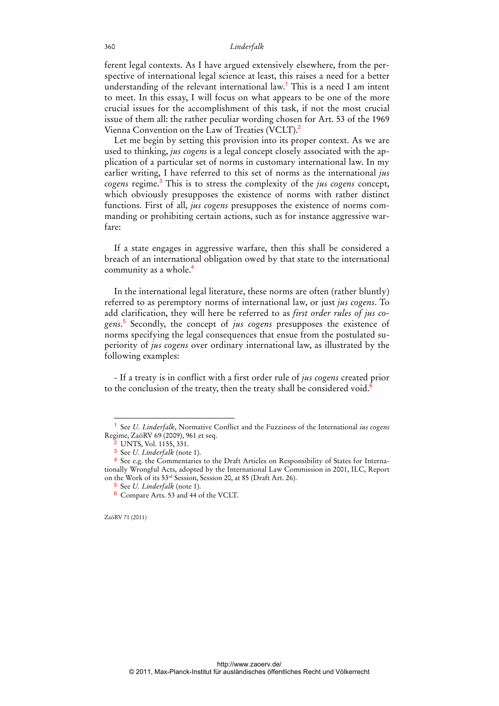ferent legal contexts. As I have argued extensively elsewhere, from the perspective of international legal science at least, this raises a need for a better understanding of the relevant international law.<sup>1</sup> This is a need I am intent to meet. In this essay, I will focus on what appears to be one of the more crucial issues for the accomplishment of this task, if not the most crucial issue of them all: the rather peculiar wording chosen for Art. 53 of the 1969 Vienna Convention on the Law of Treaties (VCLT).<sup>2</sup>

Let me begin by setting this provision into its proper context. As we are used to thinking, *jus cogens* is a legal concept closely associated with the application of a particular set of norms in customary international law. In my earlier writing, I have referred to this set of norms as the international *jus cogens* regime.<sup>3</sup> This is to stress the complexity of the *jus cogens* concept, which obviously presupposes the existence of norms with rather distinct functions. First of all, *jus cogens* presupposes the existence of norms commanding or prohibiting certain actions, such as for instance aggressive warfare:

If a state engages in aggressive warfare, then this shall be considered a breach of an international obligation owed by that state to the international community as a whole.<sup>4</sup>

In the international legal literature, these norms are often (rather bluntly) referred to as peremptory norms of international law, or just *jus cogens*. To add clarification, they will here be referred to as *first order rules of jus cogens*. 5 Secondly, the concept of *jus cogens* presupposes the existence of norms specifying the legal consequences that ensue from the postulated superiority of *jus cogens* over ordinary international law, as illustrated by the following examples:

- If a treaty is in conflict with a first order rule of *jus cogens* created prior to the conclusion of the treaty, then the treaty shall be considered void. $6$ 

ZaöRV 71 (2011)

<sup>1</sup> See *U. Linderfalk*, Normative Conflict and the Fuzziness of the International *ius cogens* Regime, ZaöRV 69 (2009), 961 et seq.

<sup>&</sup>lt;sup>2</sup> UNTS, Vol. 1155, 331.

<sup>3</sup> See *U. Linderfalk* (note 1).

<sup>4</sup> See e.g. the Commentaries to the Draft Articles on Responsibility of States for Internationally Wrongful Acts, adopted by the International Law Commission in 2001, ILC, Report on the Work of its 53rd Session, Session 20, at 85 (Draft Art. 26).

<sup>5</sup> See *U. Linderfalk* (note 1).

<sup>6</sup> Compare Arts. 53 and 44 of the VCLT.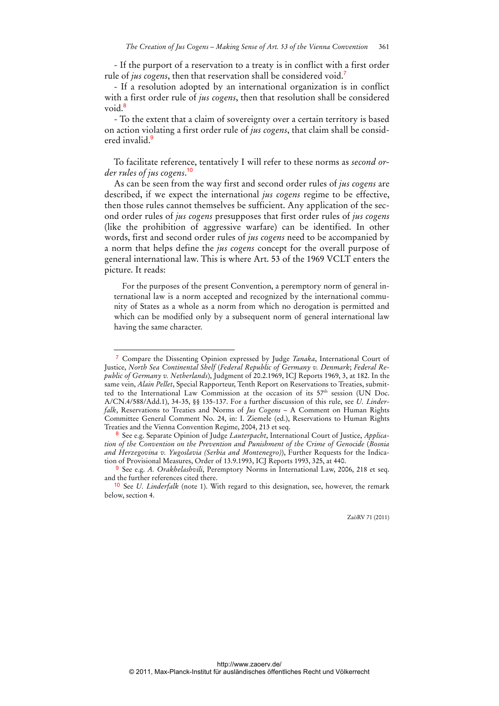- If the purport of a reservation to a treaty is in conflict with a first order rule of *jus cogens*, then that reservation shall be considered void.<sup>7</sup>

- If a resolution adopted by an international organization is in conflict with a first order rule of *jus cogens*, then that resolution shall be considered void.<sup>8</sup>

- To the extent that a claim of sovereignty over a certain territory is based on action violating a first order rule of *jus cogens*, that claim shall be considered invalid.<sup>9</sup>

To facilitate reference, tentatively I will refer to these norms as *second order rules of jus cogens*. 10

As can be seen from the way first and second order rules of *jus cogens* are described, if we expect the international *jus cogens* regime to be effective, then those rules cannot themselves be sufficient. Any application of the second order rules of *jus cogens* presupposes that first order rules of *jus cogens* (like the prohibition of aggressive warfare) can be identified. In other words, first and second order rules of *jus cogens* need to be accompanied by a norm that helps define the *jus cogens* concept for the overall purpose of general international law. This is where Art. 53 of the 1969 VCLT enters the picture. It reads:

For the purposes of the present Convention, a peremptory norm of general international law is a norm accepted and recognized by the international community of States as a whole as a norm from which no derogation is permitted and which can be modified only by a subsequent norm of general international law having the same character.

 $\overline{a}$ 

<sup>7</sup> Compare the Dissenting Opinion expressed by Judge *Tanaka*, International Court of Justice, *North Sea Continental Shelf* (*Federal Republic of Germany v. Denmark*; *Federal Republic of Germany v. Netherlands*), Judgment of 20.2.1969, ICJ Reports 1969, 3, at 182. In the same vein, *Alain Pellet*, Special Rapporteur, Tenth Report on Reservations to Treaties, submitted to the International Law Commission at the occasion of its 57th session (UN Doc. A/CN.4/588/Add.1), 34-35, §§ 135-137. For a further discussion of this rule, see *U. Linderfalk*, Reservations to Treaties and Norms of *Jus Cogens* – A Comment on Human Rights Committee General Comment No. 24, in: I. Ziemele (ed.), Reservations to Human Rights Treaties and the Vienna Convention Regime, 2004, 213 et seq.

<sup>8</sup> See e.g. Separate Opinion of Judge *Lauterpacht*, International Court of Justice, *Application of the Convention on the Prevention and Punishment of the Crime of Genocide* (*Bosnia and Herzegovina v. Yugoslavia (Serbia and Montenegro)*), Further Requests for the Indication of Provisional Measures, Order of 13.9.1993, ICJ Reports 1993, 325, at 440.

<sup>9</sup> See e.g. *A. Orakhelashvili*, Peremptory Norms in International Law, 2006, 218 et seq. and the further references cited there.

<sup>10</sup> See *U. Linderfalk* (note 1). With regard to this designation, see, however, the remark below, section 4.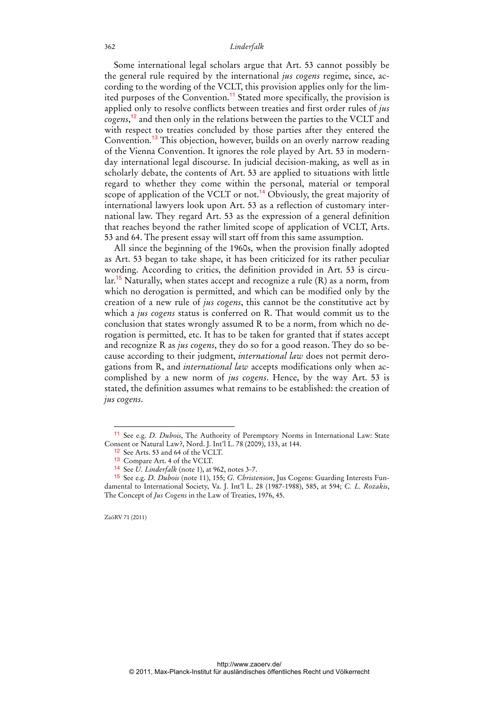Some international legal scholars argue that Art. 53 cannot possibly be the general rule required by the international *jus cogens* regime, since, according to the wording of the VCLT, this provision applies only for the limited purposes of the Convention.<sup>11</sup> Stated more specifically, the provision is applied only to resolve conflicts between treaties and first order rules of *jus cogens*, <sup>12</sup> and then only in the relations between the parties to the VCLT and with respect to treaties concluded by those parties after they entered the Convention.<sup>13</sup> This objection, however, builds on an overly narrow reading of the Vienna Convention. It ignores the role played by Art. 53 in modernday international legal discourse. In judicial decision-making, as well as in scholarly debate, the contents of Art. 53 are applied to situations with little regard to whether they come within the personal, material or temporal scope of application of the VCLT or not.<sup>14</sup> Obviously, the great majority of international lawyers look upon Art. 53 as a reflection of customary international law. They regard Art. 53 as the expression of a general definition that reaches beyond the rather limited scope of application of VCLT, Arts. 53 and 64. The present essay will start off from this same assumption.

All since the beginning of the 1960s, when the provision finally adopted as Art. 53 began to take shape, it has been criticized for its rather peculiar wording. According to critics, the definition provided in Art. 53 is circu- $\text{lar.}^{15}$  Naturally, when states accept and recognize a rule (R) as a norm, from which no derogation is permitted, and which can be modified only by the creation of a new rule of *jus cogens*, this cannot be the constitutive act by which a *jus cogens* status is conferred on R. That would commit us to the conclusion that states wrongly assumed R to be a norm, from which no derogation is permitted, etc. It has to be taken for granted that if states accept and recognize R as *jus cogens*, they do so for a good reason. They do so because according to their judgment, *international law* does not permit derogations from R, and *international law* accepts modifications only when accomplished by a new norm of *jus cogens*. Hence, by the way Art. 53 is stated, the definition assumes what remains to be established: the creation of *jus cogens*.

ZaöRV 71 (2011)

 $\ddot{ }$ 

<sup>11</sup> See e.g. *D. Dubois*, The Authority of Peremptory Norms in International Law: State Consent or Natural Law?, Nord. J. Int'l L. 78 (2009), 133, at 144.

<sup>&</sup>lt;sup>12</sup> See Arts. 53 and 64 of the VCLT.

<sup>13</sup> Compare Art. 4 of the VCLT.

<sup>14</sup> See *U. Linderfalk* (note 1), at 962, notes 3-7.

<sup>15</sup> See e.g. *D. Dubois* (note 11), 155; *G. Christenson*, Jus Cogens: Guarding Interests Fundamental to International Society, Va. J. Int'l L. 28 (1987-1988), 585, at 594; *C. L. Rozakis*, The Concept of *Jus Cogens* in the Law of Treaties, 1976, 45.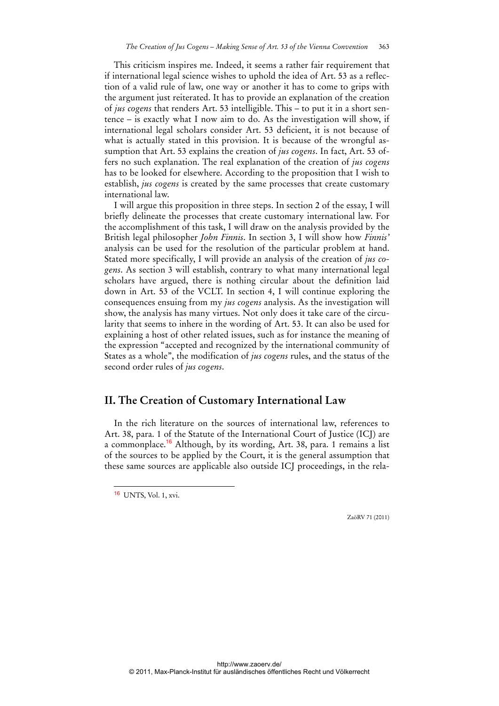This criticism inspires me. Indeed, it seems a rather fair requirement that if international legal science wishes to uphold the idea of Art. 53 as a reflection of a valid rule of law, one way or another it has to come to grips with the argument just reiterated. It has to provide an explanation of the creation of *jus cogens* that renders Art. 53 intelligible. This – to put it in a short sentence – is exactly what I now aim to do. As the investigation will show, if international legal scholars consider Art. 53 deficient, it is not because of what is actually stated in this provision. It is because of the wrongful assumption that Art. 53 explains the creation of *jus cogens*. In fact, Art. 53 offers no such explanation. The real explanation of the creation of *jus cogens* has to be looked for elsewhere. According to the proposition that I wish to establish, *jus cogens* is created by the same processes that create customary international law.

I will argue this proposition in three steps. In section 2 of the essay, I will briefly delineate the processes that create customary international law. For the accomplishment of this task, I will draw on the analysis provided by the British legal philosopher *John Finnis*. In section 3, I will show how *Finnis'* analysis can be used for the resolution of the particular problem at hand. Stated more specifically, I will provide an analysis of the creation of *jus cogens*. As section 3 will establish, contrary to what many international legal scholars have argued, there is nothing circular about the definition laid down in Art. 53 of the VCLT. In section 4, I will continue exploring the consequences ensuing from my *jus cogens* analysis. As the investigation will show, the analysis has many virtues. Not only does it take care of the circularity that seems to inhere in the wording of Art. 53. It can also be used for explaining a host of other related issues, such as for instance the meaning of the expression "accepted and recognized by the international community of States as a whole", the modification of *jus cogens* rules, and the status of the second order rules of *jus cogens*.

### **II. The Creation of Customary International Law**

In the rich literature on the sources of international law, references to Art. 38, para. 1 of the Statute of the International Court of Justice (ICJ) are a commonplace.<sup>16</sup> Although, by its wording, Art. 38, para. 1 remains a list of the sources to be applied by the Court, it is the general assumption that these same sources are applicable also outside ICJ proceedings, in the rela-

16 UNTS, Vol. 1, xvi.

 $\overline{a}$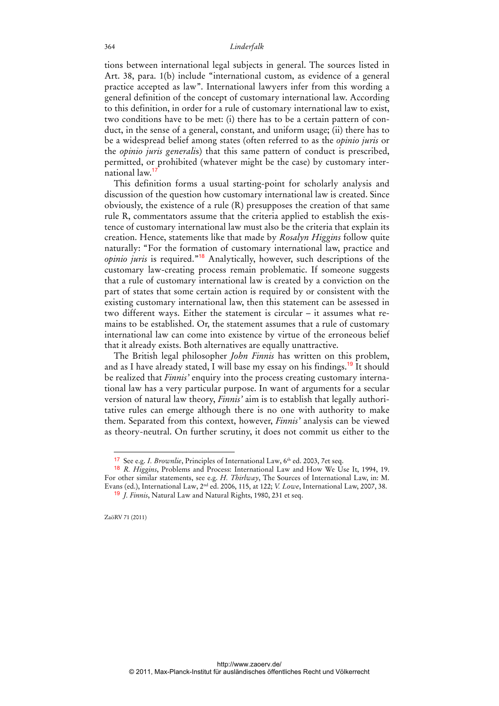tions between international legal subjects in general. The sources listed in Art. 38, para. 1(b) include "international custom, as evidence of a general practice accepted as law". International lawyers infer from this wording a general definition of the concept of customary international law. According to this definition, in order for a rule of customary international law to exist, two conditions have to be met: (i) there has to be a certain pattern of conduct, in the sense of a general, constant, and uniform usage; (ii) there has to be a widespread belief among states (often referred to as the *opinio juris* or the *opinio juris generali*s) that this same pattern of conduct is prescribed, permitted, or prohibited (whatever might be the case) by customary international law.<sup>17</sup>

This definition forms a usual starting-point for scholarly analysis and discussion of the question how customary international law is created. Since obviously, the existence of a rule (R) presupposes the creation of that same rule R, commentators assume that the criteria applied to establish the existence of customary international law must also be the criteria that explain its creation. Hence, statements like that made by *Rosalyn Higgins* follow quite naturally: "For the formation of customary international law, practice and *opinio juris* is required."<sup>18</sup> Analytically, however, such descriptions of the customary law-creating process remain problematic. If someone suggests that a rule of customary international law is created by a conviction on the part of states that some certain action is required by or consistent with the existing customary international law, then this statement can be assessed in two different ways. Either the statement is circular – it assumes what remains to be established. Or, the statement assumes that a rule of customary international law can come into existence by virtue of the erroneous belief that it already exists. Both alternatives are equally unattractive.

The British legal philosopher *John Finnis* has written on this problem, and as I have already stated, I will base my essay on his findings.<sup>19</sup> It should be realized that *Finnis'* enquiry into the process creating customary international law has a very particular purpose. In want of arguments for a secular version of natural law theory, *Finnis'* aim is to establish that legally authoritative rules can emerge although there is no one with authority to make them. Separated from this context, however, *Finnis'* analysis can be viewed as theory-neutral. On further scrutiny, it does not commit us either to the

<sup>&</sup>lt;sup>17</sup> See e.g. *I. Brownlie*, Principles of International Law, 6<sup>th</sup> ed. 2003, 7et seq.

<sup>18</sup> *R. Higgins*, Problems and Process: International Law and How We Use It, 1994, 19. For other similar statements, see e.g. *H. Thirlway*, The Sources of International Law, in: M. Evans (ed.), International Law, 2nd ed. 2006, 115, at 122; *V. Lowe*, International Law, 2007, 38.

<sup>19</sup> *J. Finnis*, Natural Law and Natural Rights, 1980, 231 et seq.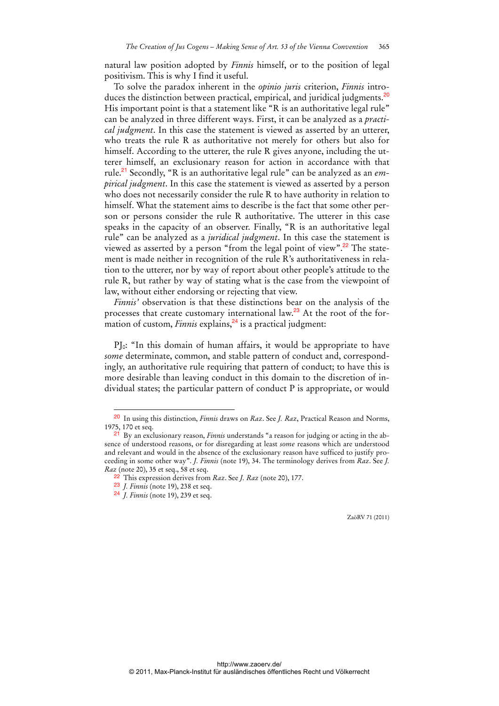natural law position adopted by *Finnis* himself, or to the position of legal positivism. This is why I find it useful.

To solve the paradox inherent in the *opinio juris* criterion, *Finnis* introduces the distinction between practical, empirical, and juridical judgments.<sup>20</sup> His important point is that a statement like "R is an authoritative legal rule" can be analyzed in three different ways. First, it can be analyzed as a *practical judgment*. In this case the statement is viewed as asserted by an utterer, who treats the rule R as authoritative not merely for others but also for himself. According to the utterer, the rule R gives anyone, including the utterer himself, an exclusionary reason for action in accordance with that rule.21 Secondly, "R is an authoritative legal rule" can be analyzed as an *empirical judgment*. In this case the statement is viewed as asserted by a person who does not necessarily consider the rule R to have authority in relation to himself. What the statement aims to describe is the fact that some other person or persons consider the rule R authoritative. The utterer in this case speaks in the capacity of an observer. Finally, "R is an authoritative legal rule" can be analyzed as a *juridical judgment*. In this case the statement is viewed as asserted by a person "from the legal point of view".<sup>22</sup> The statement is made neither in recognition of the rule R's authoritativeness in relation to the utterer, nor by way of report about other people's attitude to the rule R, but rather by way of stating what is the case from the viewpoint of law, without either endorsing or rejecting that view.

*Finnis'* observation is that these distinctions bear on the analysis of the processes that create customary international law.<sup>23</sup> At the root of the formation of custom, *Finnis* explains,<sup>24</sup> is a practical judgment:

PI<sub>0</sub>: "In this domain of human affairs, it would be appropriate to have *some* determinate, common, and stable pattern of conduct and, correspondingly, an authoritative rule requiring that pattern of conduct; to have this is more desirable than leaving conduct in this domain to the discretion of individual states; the particular pattern of conduct P is appropriate, or would

 $\overline{a}$ 

<sup>20</sup> In using this distinction, *Finnis* draws on *Raz*. See *J. Raz*, Practical Reason and Norms, 1975, 170 et seq.

<sup>21</sup> By an exclusionary reason, *Finnis* understands "a reason for judging or acting in the absence of understood reasons, or for disregarding at least *some* reasons which are understood and relevant and would in the absence of the exclusionary reason have sufficed to justify proceeding in some other way". *J. Finnis* (note 19), 34. The terminology derives from *Raz*. See *J. Raz* (note 20), 35 et seq., 58 et seq.

<sup>22</sup> This expression derives from *Raz*. See *J. Raz* (note 20), 177.

<sup>23</sup> *J. Finnis* (note 19), 238 et seq.

<sup>24</sup> *J. Finnis* (note 19), 239 et seq.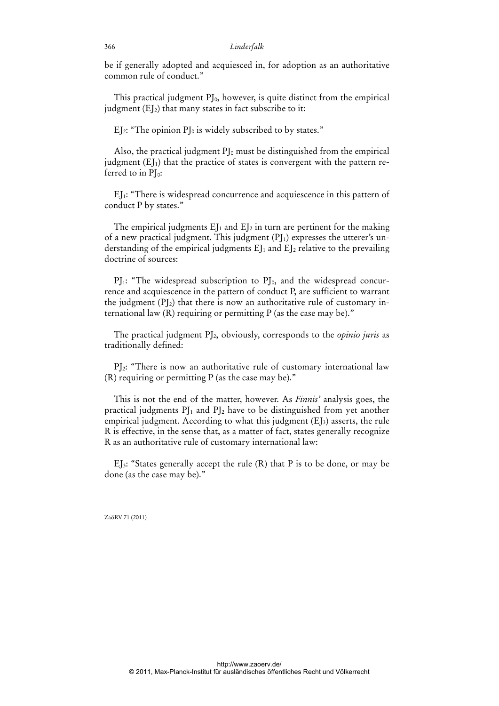be if generally adopted and acquiesced in, for adoption as an authoritative common rule of conduct."

This practical judgment  $PI_0$ , however, is quite distinct from the empirical judgment  $(EI_2)$  that many states in fact subscribe to it:

EJ<sub>2</sub>: "The opinion  $PI_0$  is widely subscribed to by states."

Also, the practical judgment  $PI_0$  must be distinguished from the empirical judgment  $(EJ<sub>1</sub>)$  that the practice of states is convergent with the pattern referred to in  $PI_0$ :

EJ1: "There is widespread concurrence and acquiescence in this pattern of conduct P by states."

The empirical judgments  $E_1$  and  $E_2$  in turn are pertinent for the making of a new practical judgment. This judgment  $(PI_1)$  expresses the utterer's understanding of the empirical judgments  $E_J$  and  $E_J$  relative to the prevailing doctrine of sources:

 $PI_1$ : "The widespread subscription to  $PI_0$ , and the widespread concurrence and acquiescence in the pattern of conduct P, are sufficient to warrant the judgment  $(P<sub>12</sub>)$  that there is now an authoritative rule of customary international law  $(R)$  requiring or permitting  $P$  (as the case may be)."

The practical judgment PJ2, obviously, corresponds to the *opinio juris* as traditionally defined:

PJ2: "There is now an authoritative rule of customary international law  $(R)$  requiring or permitting P (as the case may be)."

This is not the end of the matter, however. As *Finnis'* analysis goes, the practical judgments  $PI_1$  and  $PI_2$  have to be distinguished from yet another empirical judgment. According to what this judgment  $(E_3)$  asserts, the rule R is effective, in the sense that, as a matter of fact, states generally recognize R as an authoritative rule of customary international law:

EI<sub>3</sub>: "States generally accept the rule  $(R)$  that P is to be done, or may be done (as the case may be)."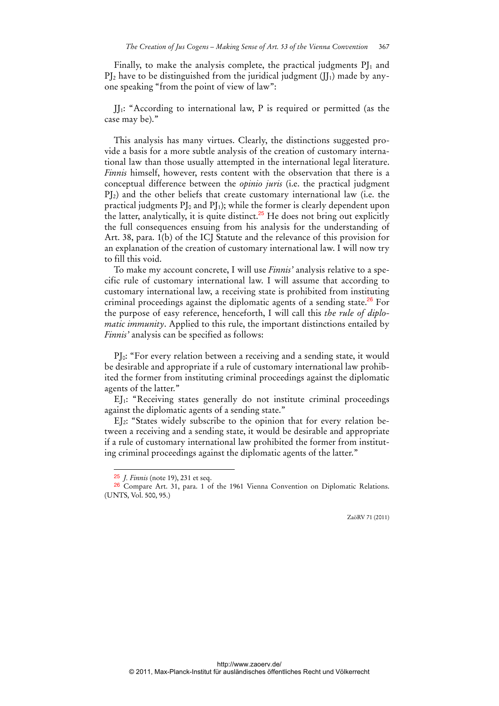Finally, to make the analysis complete, the practical judgments  $PI_1$  and  $PI<sub>2</sub>$  have to be distinguished from the juridical judgment (II<sub>1</sub>) made by anyone speaking "from the point of view of law":

JJ1: "According to international law, P is required or permitted (as the case may be)."

This analysis has many virtues. Clearly, the distinctions suggested provide a basis for a more subtle analysis of the creation of customary international law than those usually attempted in the international legal literature. *Finnis* himself, however, rests content with the observation that there is a conceptual difference between the *opinio juris* (i.e. the practical judgment  $P_{12}$ ) and the other beliefs that create customary international law (i.e. the practical judgments  $PI_0$  and  $PI_1$ ); while the former is clearly dependent upon the latter, analytically, it is quite distinct. $25$  He does not bring out explicitly the full consequences ensuing from his analysis for the understanding of Art. 38, para. 1(b) of the ICJ Statute and the relevance of this provision for an explanation of the creation of customary international law. I will now try to fill this void.

To make my account concrete, I will use *Finnis'* analysis relative to a specific rule of customary international law. I will assume that according to customary international law, a receiving state is prohibited from instituting criminal proceedings against the diplomatic agents of a sending state.<sup>26</sup> For the purpose of easy reference, henceforth, I will call this *the rule of diplomatic immunity*. Applied to this rule, the important distinctions entailed by *Finnis'* analysis can be specified as follows:

PI<sub>0</sub>: "For every relation between a receiving and a sending state, it would be desirable and appropriate if a rule of customary international law prohibited the former from instituting criminal proceedings against the diplomatic agents of the latter."

EJ1: "Receiving states generally do not institute criminal proceedings against the diplomatic agents of a sending state."

EJ2: "States widely subscribe to the opinion that for every relation between a receiving and a sending state, it would be desirable and appropriate if a rule of customary international law prohibited the former from instituting criminal proceedings against the diplomatic agents of the latter."

 $\overline{a}$ 

<sup>25</sup> *J. Finnis* (note 19), 231 et seq.

<sup>26</sup> Compare Art. 31, para. 1 of the 1961 Vienna Convention on Diplomatic Relations. (UNTS, Vol. 500, 95.)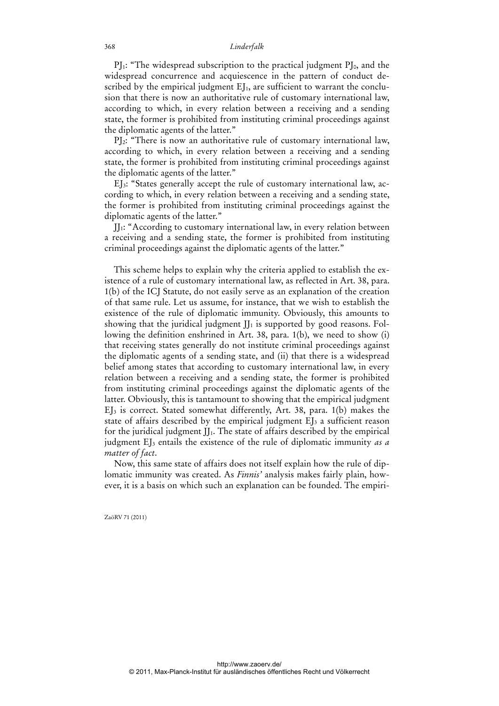$PI_1$ : "The widespread subscription to the practical judgment  $PI_0$ , and the widespread concurrence and acquiescence in the pattern of conduct described by the empirical judgment  $E_{J1}$ , are sufficient to warrant the conclusion that there is now an authoritative rule of customary international law, according to which, in every relation between a receiving and a sending state, the former is prohibited from instituting criminal proceedings against the diplomatic agents of the latter."

PJ2: "There is now an authoritative rule of customary international law, according to which, in every relation between a receiving and a sending state, the former is prohibited from instituting criminal proceedings against the diplomatic agents of the latter."

EJ3: "States generally accept the rule of customary international law, according to which, in every relation between a receiving and a sending state, the former is prohibited from instituting criminal proceedings against the diplomatic agents of the latter."

JJ1: "According to customary international law, in every relation between a receiving and a sending state, the former is prohibited from instituting criminal proceedings against the diplomatic agents of the latter."

This scheme helps to explain why the criteria applied to establish the existence of a rule of customary international law, as reflected in Art. 38, para. 1(b) of the ICJ Statute, do not easily serve as an explanation of the creation of that same rule. Let us assume, for instance, that we wish to establish the existence of the rule of diplomatic immunity. Obviously, this amounts to showing that the juridical judgment  $J_1$  is supported by good reasons. Following the definition enshrined in Art. 38, para. 1(b), we need to show (i) that receiving states generally do not institute criminal proceedings against the diplomatic agents of a sending state, and (ii) that there is a widespread belief among states that according to customary international law, in every relation between a receiving and a sending state, the former is prohibited from instituting criminal proceedings against the diplomatic agents of the latter. Obviously, this is tantamount to showing that the empirical judgment EJ3 is correct. Stated somewhat differently, Art. 38, para. 1(b) makes the state of affairs described by the empirical judgment  $E$ <sub>J</sub> a sufficient reason for the juridical judgment  $JJ_1$ . The state of affairs described by the empirical judgment EJ3 entails the existence of the rule of diplomatic immunity *as a matter of fact*.

Now, this same state of affairs does not itself explain how the rule of diplomatic immunity was created. As *Finnis'* analysis makes fairly plain, however, it is a basis on which such an explanation can be founded. The empiri-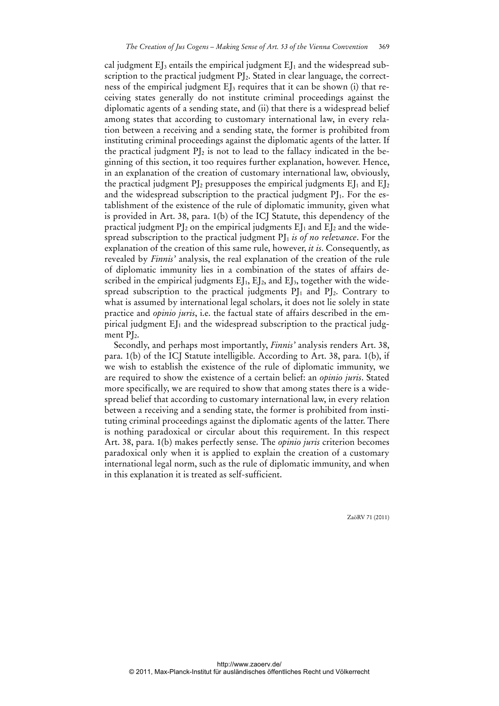cal judgment  $E$ <sub>I</sub> entails the empirical judgment  $E$ <sub>I</sub> and the widespread subscription to the practical judgment PJ<sub>2</sub>. Stated in clear language, the correctness of the empirical judgment EJ<sub>3</sub> requires that it can be shown (i) that receiving states generally do not institute criminal proceedings against the diplomatic agents of a sending state, and (ii) that there is a widespread belief among states that according to customary international law, in every relation between a receiving and a sending state, the former is prohibited from instituting criminal proceedings against the diplomatic agents of the latter. If the practical judgment  $PI_2$  is not to lead to the fallacy indicated in the beginning of this section, it too requires further explanation, however. Hence, in an explanation of the creation of customary international law, obviously, the practical judgment  $PI_2$  presupposes the empirical judgments  $EI_1$  and  $EI_2$ and the widespread subscription to the practical judgment  $PI_1$ . For the establishment of the existence of the rule of diplomatic immunity, given what is provided in Art. 38, para. 1(b) of the ICJ Statute, this dependency of the practical judgment  $PI_2$  on the empirical judgments  $EI_1$  and  $EI_2$  and the widespread subscription to the practical judgment PJ<sub>1</sub> is of no relevance. For the explanation of the creation of this same rule, however, *it is*. Consequently, as revealed by *Finnis'* analysis, the real explanation of the creation of the rule of diplomatic immunity lies in a combination of the states of affairs described in the empirical judgments  $E_I$ ,  $E_I$ , and  $E_I$ , together with the widespread subscription to the practical judgments  $PI_1$  and  $PI_2$ . Contrary to what is assumed by international legal scholars, it does not lie solely in state practice and *opinio juris*, i.e. the factual state of affairs described in the empirical judgment  $EJ_1$  and the widespread subscription to the practical judgment  $PI<sub>2</sub>$ .

Secondly, and perhaps most importantly, *Finnis'* analysis renders Art. 38, para. 1(b) of the ICJ Statute intelligible. According to Art. 38, para. 1(b), if we wish to establish the existence of the rule of diplomatic immunity, we are required to show the existence of a certain belief: an *opinio juris*. Stated more specifically, we are required to show that among states there is a widespread belief that according to customary international law, in every relation between a receiving and a sending state, the former is prohibited from instituting criminal proceedings against the diplomatic agents of the latter. There is nothing paradoxical or circular about this requirement. In this respect Art. 38, para. 1(b) makes perfectly sense. The *opinio juris* criterion becomes paradoxical only when it is applied to explain the creation of a customary international legal norm, such as the rule of diplomatic immunity, and when in this explanation it is treated as self-sufficient.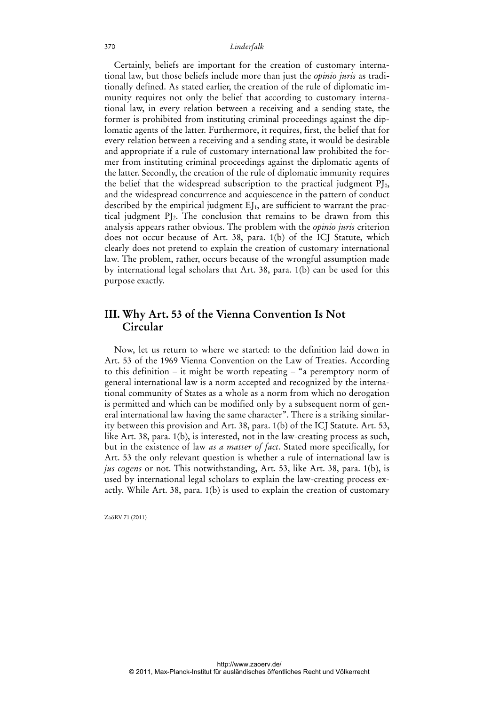Certainly, beliefs are important for the creation of customary international law, but those beliefs include more than just the *opinio juris* as traditionally defined. As stated earlier, the creation of the rule of diplomatic immunity requires not only the belief that according to customary international law, in every relation between a receiving and a sending state, the former is prohibited from instituting criminal proceedings against the diplomatic agents of the latter. Furthermore, it requires, first, the belief that for every relation between a receiving and a sending state, it would be desirable and appropriate if a rule of customary international law prohibited the former from instituting criminal proceedings against the diplomatic agents of the latter. Secondly, the creation of the rule of diplomatic immunity requires the belief that the widespread subscription to the practical judgment  $PI_0$ , and the widespread concurrence and acquiescence in the pattern of conduct described by the empirical judgment EJ<sub>1</sub>, are sufficient to warrant the practical judgment PJ2. The conclusion that remains to be drawn from this analysis appears rather obvious. The problem with the *opinio juris* criterion does not occur because of Art. 38, para. 1(b) of the ICJ Statute, which clearly does not pretend to explain the creation of customary international law. The problem, rather, occurs because of the wrongful assumption made by international legal scholars that Art. 38, para. 1(b) can be used for this purpose exactly.

## **III. Why Art. 53 of the Vienna Convention Is Not Circular**

Now, let us return to where we started: to the definition laid down in Art. 53 of the 1969 Vienna Convention on the Law of Treaties. According to this definition – it might be worth repeating – "a peremptory norm of general international law is a norm accepted and recognized by the international community of States as a whole as a norm from which no derogation is permitted and which can be modified only by a subsequent norm of general international law having the same character". There is a striking similarity between this provision and Art. 38, para. 1(b) of the ICJ Statute. Art. 53, like Art. 38, para. 1(b), is interested, not in the law-creating process as such, but in the existence of law *as a matter of fact*. Stated more specifically, for Art. 53 the only relevant question is whether a rule of international law is *jus cogens* or not. This notwithstanding, Art. 53, like Art. 38, para. 1(b), is used by international legal scholars to explain the law-creating process exactly. While Art. 38, para. 1(b) is used to explain the creation of customary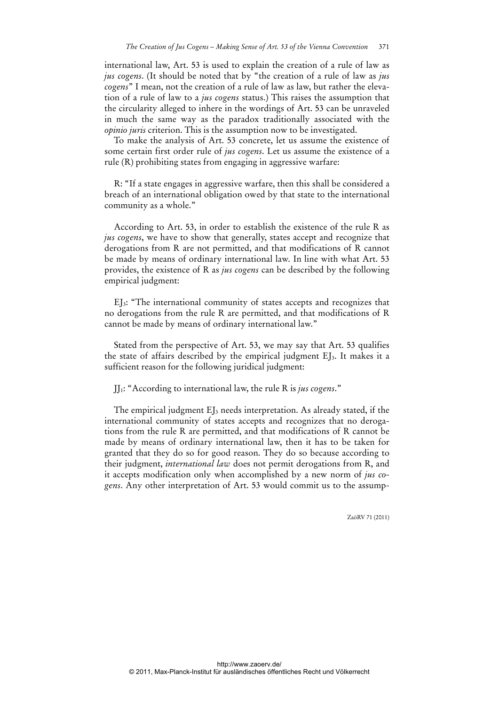international law, Art. 53 is used to explain the creation of a rule of law as *jus cogens*. (It should be noted that by "the creation of a rule of law as *jus cogens*" I mean, not the creation of a rule of law as law, but rather the elevation of a rule of law to a *jus cogens* status.) This raises the assumption that the circularity alleged to inhere in the wordings of Art. 53 can be unraveled in much the same way as the paradox traditionally associated with the *opinio juris* criterion. This is the assumption now to be investigated.

To make the analysis of Art. 53 concrete, let us assume the existence of some certain first order rule of *jus cogens*. Let us assume the existence of a rule (R) prohibiting states from engaging in aggressive warfare:

R: "If a state engages in aggressive warfare, then this shall be considered a breach of an international obligation owed by that state to the international community as a whole."

According to Art. 53, in order to establish the existence of the rule R as *jus cogens*, we have to show that generally, states accept and recognize that derogations from R are not permitted, and that modifications of R cannot be made by means of ordinary international law. In line with what Art. 53 provides, the existence of R as *jus cogens* can be described by the following empirical judgment:

EJ3: "The international community of states accepts and recognizes that no derogations from the rule R are permitted, and that modifications of R cannot be made by means of ordinary international law."

Stated from the perspective of Art. 53, we may say that Art. 53 qualifies the state of affairs described by the empirical judgment EJ3. It makes it a sufficient reason for the following juridical judgment:

JJ1: "According to international law, the rule R is *jus cogens*."

The empirical judgment EJ<sub>3</sub> needs interpretation. As already stated, if the international community of states accepts and recognizes that no derogations from the rule R are permitted, and that modifications of R cannot be made by means of ordinary international law, then it has to be taken for granted that they do so for good reason. They do so because according to their judgment, *international law* does not permit derogations from R, and it accepts modification only when accomplished by a new norm of *jus cogens*. Any other interpretation of Art. 53 would commit us to the assump-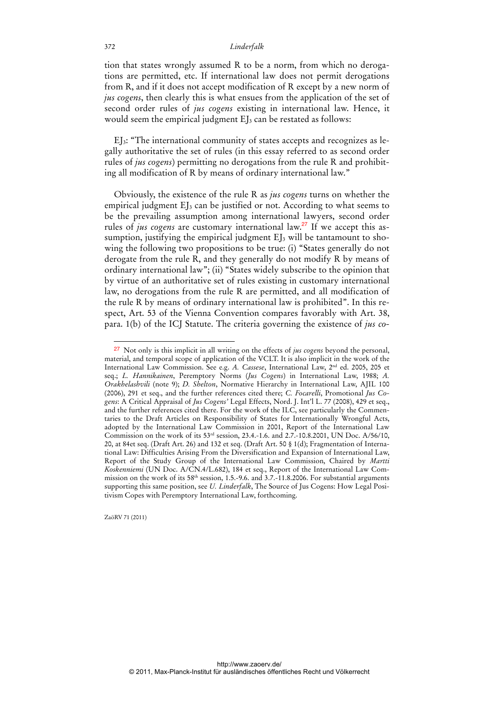tion that states wrongly assumed R to be a norm, from which no derogations are permitted, etc. If international law does not permit derogations from R, and if it does not accept modification of R except by a new norm of *jus cogens*, then clearly this is what ensues from the application of the set of second order rules of *jus cogens* existing in international law. Hence, it would seem the empirical judgment EJ<sub>3</sub> can be restated as follows:

EJ3: "The international community of states accepts and recognizes as legally authoritative the set of rules (in this essay referred to as second order rules of *jus cogens*) permitting no derogations from the rule R and prohibiting all modification of R by means of ordinary international law."

Obviously, the existence of the rule R as *jus cogens* turns on whether the empirical judgment  $E$ <sub>3</sub> can be justified or not. According to what seems to be the prevailing assumption among international lawyers, second order rules of *jus cogens* are customary international law.<sup>27</sup> If we accept this assumption, justifying the empirical judgment  $E$ J<sub>3</sub> will be tantamount to showing the following two propositions to be true: (i) "States generally do not derogate from the rule R, and they generally do not modify R by means of ordinary international law"; (ii) "States widely subscribe to the opinion that by virtue of an authoritative set of rules existing in customary international law, no derogations from the rule R are permitted, and all modification of the rule R by means of ordinary international law is prohibited". In this respect, Art. 53 of the Vienna Convention compares favorably with Art. 38, para. 1(b) of the ICJ Statute. The criteria governing the existence of *jus co-*

ZaöRV 71 (2011)

<sup>27</sup> Not only is this implicit in all writing on the effects of *jus cogens* beyond the personal, material, and temporal scope of application of the VCLT. It is also implicit in the work of the International Law Commission. See e.g. *A. Cassese*, International Law, 2nd ed. 2005, 205 et seq.; *L. Hannikainen*, Peremptory Norms (*Jus Cogens*) in International Law, 1988; *A. Orakhelashvili* (note 9); *D. Shelton*, Normative Hierarchy in International Law, AJIL 100 (2006), 291 et seq., and the further references cited there; *C. Focarelli*, Promotional *Jus Cogens*: A Critical Appraisal of *Jus Cogens'* Legal Effects, Nord. J. Int'l L. 77 (2008), 429 et seq., and the further references cited there. For the work of the ILC, see particularly the Commentaries to the Draft Articles on Responsibility of States for Internationally Wrongful Acts, adopted by the International Law Commission in 2001, Report of the International Law Commission on the work of its 53rd session, 23.4.-1.6. and 2.7.-10.8.2001, UN Doc. A/56/10, 20, at 84et seq. (Draft Art. 26) and 132 et seq. (Draft Art. 50 § 1(d); Fragmentation of International Law: Difficulties Arising From the Diversification and Expansion of International Law, Report of the Study Group of the International Law Commission, Chaired by *Martti Koskenniemi* (UN Doc. A/CN.4/L.682), 184 et seq., Report of the International Law Commission on the work of its  $58<sup>th</sup>$  session, 1.5.-9.6. and 3.7.-11.8.2006. For substantial arguments supporting this same position, see *U. Linderfalk*, The Source of Jus Cogens: How Legal Positivism Copes with Peremptory International Law, forthcoming.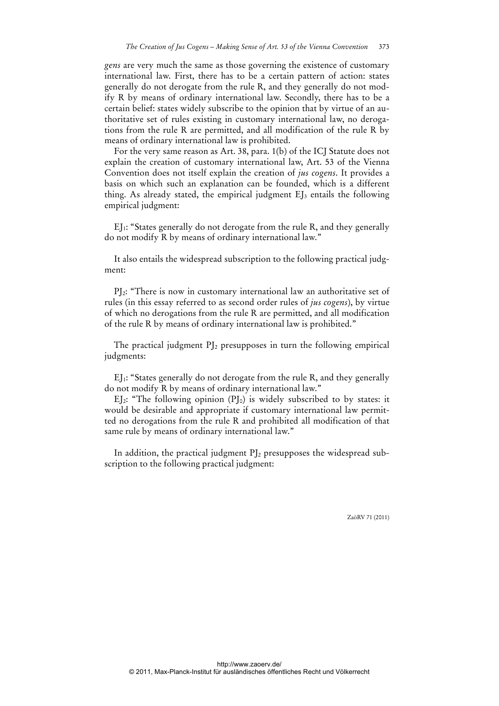*gens* are very much the same as those governing the existence of customary international law. First, there has to be a certain pattern of action: states generally do not derogate from the rule R, and they generally do not modify R by means of ordinary international law. Secondly, there has to be a certain belief: states widely subscribe to the opinion that by virtue of an authoritative set of rules existing in customary international law, no derogations from the rule R are permitted, and all modification of the rule R by means of ordinary international law is prohibited.

For the very same reason as Art. 38, para. 1(b) of the ICJ Statute does not explain the creation of customary international law, Art. 53 of the Vienna Convention does not itself explain the creation of *jus cogens*. It provides a basis on which such an explanation can be founded, which is a different thing. As already stated, the empirical judgment  $EJ_3$  entails the following empirical judgment:

EJ1: "States generally do not derogate from the rule R, and they generally do not modify R by means of ordinary international law."

It also entails the widespread subscription to the following practical judgment:

PJ2: "There is now in customary international law an authoritative set of rules (in this essay referred to as second order rules of *jus cogens*), by virtue of which no derogations from the rule R are permitted, and all modification of the rule R by means of ordinary international law is prohibited."

The practical judgment  $PI_2$  presupposes in turn the following empirical judgments:

EJ1: "States generally do not derogate from the rule R, and they generally do not modify R by means of ordinary international law."

EI<sub>2</sub>: "The following opinion  $(PI_0)$  is widely subscribed to by states: it would be desirable and appropriate if customary international law permitted no derogations from the rule R and prohibited all modification of that same rule by means of ordinary international law."

In addition, the practical judgment PJ<sub>2</sub> presupposes the widespread subscription to the following practical judgment: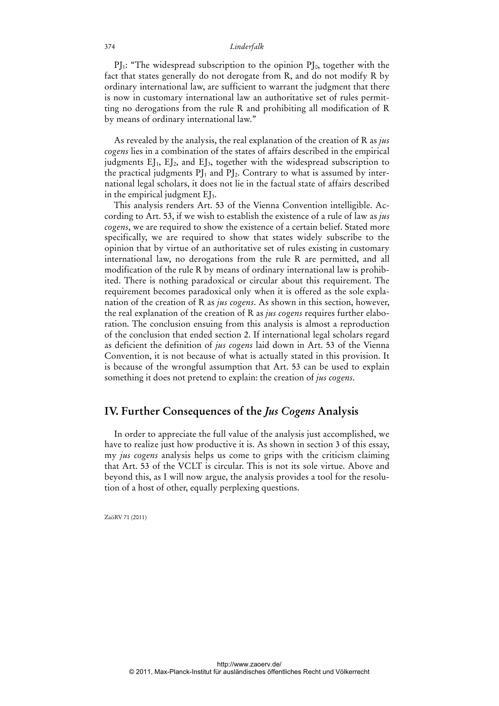$PI_1$ : "The widespread subscription to the opinion  $PI_0$ , together with the fact that states generally do not derogate from R, and do not modify R by ordinary international law, are sufficient to warrant the judgment that there is now in customary international law an authoritative set of rules permitting no derogations from the rule R and prohibiting all modification of R by means of ordinary international law."

As revealed by the analysis, the real explanation of the creation of R as *jus cogens* lies in a combination of the states of affairs described in the empirical judgments EJ<sub>1</sub>, EJ<sub>2</sub>, and EJ<sub>3</sub>, together with the widespread subscription to the practical judgments  $PI_1$  and  $PI_2$ . Contrary to what is assumed by international legal scholars, it does not lie in the factual state of affairs described in the empirical judgment  $E_{3}$ .

This analysis renders Art. 53 of the Vienna Convention intelligible. According to Art. 53, if we wish to establish the existence of a rule of law as *jus cogens*, we are required to show the existence of a certain belief. Stated more specifically, we are required to show that states widely subscribe to the opinion that by virtue of an authoritative set of rules existing in customary international law, no derogations from the rule R are permitted, and all modification of the rule R by means of ordinary international law is prohibited. There is nothing paradoxical or circular about this requirement. The requirement becomes paradoxical only when it is offered as the sole explanation of the creation of R as *jus cogens*. As shown in this section, however, the real explanation of the creation of R as *jus cogens* requires further elaboration. The conclusion ensuing from this analysis is almost a reproduction of the conclusion that ended section 2. If international legal scholars regard as deficient the definition of *jus cogens* laid down in Art. 53 of the Vienna Convention, it is not because of what is actually stated in this provision. It is because of the wrongful assumption that Art. 53 can be used to explain something it does not pretend to explain: the creation of *jus cogens*.

### **IV. Further Consequences of the** *Jus Cogens* **Analysis**

In order to appreciate the full value of the analysis just accomplished, we have to realize just how productive it is. As shown in section 3 of this essay, my *jus cogens* analysis helps us come to grips with the criticism claiming that Art. 53 of the VCLT is circular. This is not its sole virtue. Above and beyond this, as I will now argue, the analysis provides a tool for the resolution of a host of other, equally perplexing questions.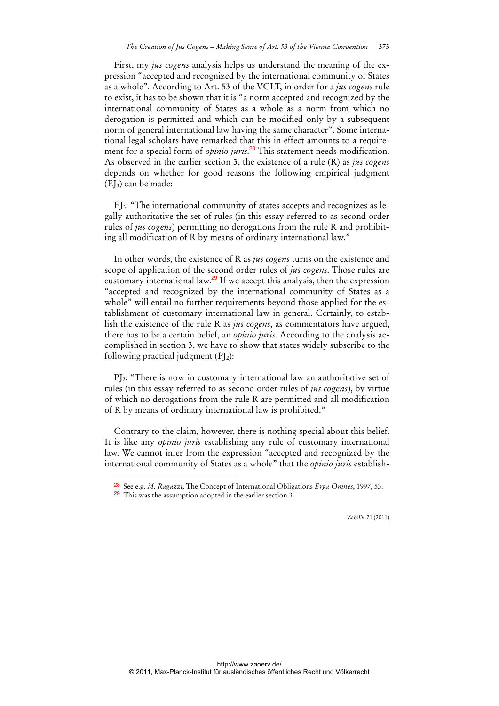First, my *jus cogens* analysis helps us understand the meaning of the expression "accepted and recognized by the international community of States as a whole". According to Art. 53 of the VCLT, in order for a *jus cogens* rule to exist, it has to be shown that it is "a norm accepted and recognized by the international community of States as a whole as a norm from which no derogation is permitted and which can be modified only by a subsequent norm of general international law having the same character". Some international legal scholars have remarked that this in effect amounts to a requirement for a special form of *opinio juris*. <sup>28</sup> This statement needs modification. As observed in the earlier section 3, the existence of a rule (R) as *jus cogens* depends on whether for good reasons the following empirical judgment  $(EI_3)$  can be made:

EJ3: "The international community of states accepts and recognizes as legally authoritative the set of rules (in this essay referred to as second order rules of *jus cogens*) permitting no derogations from the rule R and prohibiting all modification of R by means of ordinary international law."

In other words, the existence of R as *jus cogens* turns on the existence and scope of application of the second order rules of *jus cogens*. Those rules are customary international law.<sup>29</sup> If we accept this analysis, then the expression "accepted and recognized by the international community of States as a whole" will entail no further requirements beyond those applied for the establishment of customary international law in general. Certainly, to establish the existence of the rule R as *jus cogens*, as commentators have argued, there has to be a certain belief, an *opinio juris*. According to the analysis accomplished in section 3, we have to show that states widely subscribe to the following practical judgment  $(PI_2)$ :

PJ2: "There is now in customary international law an authoritative set of rules (in this essay referred to as second order rules of *jus cogens*), by virtue of which no derogations from the rule R are permitted and all modification of R by means of ordinary international law is prohibited."

Contrary to the claim, however, there is nothing special about this belief. It is like any *opinio juris* establishing any rule of customary international law. We cannot infer from the expression "accepted and recognized by the international community of States as a whole" that the *opinio juris* establish-

 $\overline{a}$ 

<sup>28</sup> See e.g. *M. Ragazzi*, The Concept of International Obligations *Erga Omnes*, 1997, 53.

<sup>29</sup> This was the assumption adopted in the earlier section 3.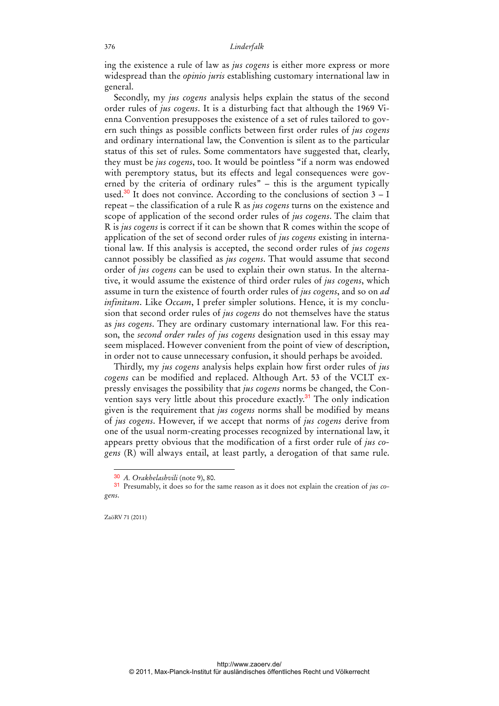ing the existence a rule of law as *jus cogens* is either more express or more widespread than the *opinio juris* establishing customary international law in general.

Secondly, my *jus cogens* analysis helps explain the status of the second order rules of *jus cogens*. It is a disturbing fact that although the 1969 Vienna Convention presupposes the existence of a set of rules tailored to govern such things as possible conflicts between first order rules of *jus cogens* and ordinary international law, the Convention is silent as to the particular status of this set of rules. Some commentators have suggested that, clearly, they must be *jus cogens*, too. It would be pointless "if a norm was endowed with peremptory status, but its effects and legal consequences were governed by the criteria of ordinary rules" – this is the argument typically used.<sup>30</sup> It does not convince. According to the conclusions of section  $3 - I$ repeat – the classification of a rule R as *jus cogens* turns on the existence and scope of application of the second order rules of *jus cogens*. The claim that R is *jus cogens* is correct if it can be shown that R comes within the scope of application of the set of second order rules of *jus cogens* existing in international law. If this analysis is accepted, the second order rules of *jus cogens* cannot possibly be classified as *jus cogens*. That would assume that second order of *jus cogens* can be used to explain their own status. In the alternative, it would assume the existence of third order rules of *jus cogens*, which assume in turn the existence of fourth order rules of *jus cogens*, and so on *ad infinitum*. Like *Occam*, I prefer simpler solutions. Hence, it is my conclusion that second order rules of *jus cogens* do not themselves have the status as *jus cogens*. They are ordinary customary international law. For this reason, the *second order rules of jus cogens* designation used in this essay may seem misplaced. However convenient from the point of view of description, in order not to cause unnecessary confusion, it should perhaps be avoided.

Thirdly, my *jus cogens* analysis helps explain how first order rules of *jus cogens* can be modified and replaced. Although Art. 53 of the VCLT expressly envisages the possibility that *jus cogens* norms be changed, the Convention says very little about this procedure exactly.<sup>31</sup> The only indication given is the requirement that *jus cogens* norms shall be modified by means of *jus cogens*. However, if we accept that norms of *jus cogens* derive from one of the usual norm-creating processes recognized by international law, it appears pretty obvious that the modification of a first order rule of *jus cogens* (R) will always entail, at least partly, a derogation of that same rule.

<sup>30</sup> *A. Orakhelashvili* (note 9), 80.

<sup>31</sup> Presumably, it does so for the same reason as it does not explain the creation of *jus cogens*.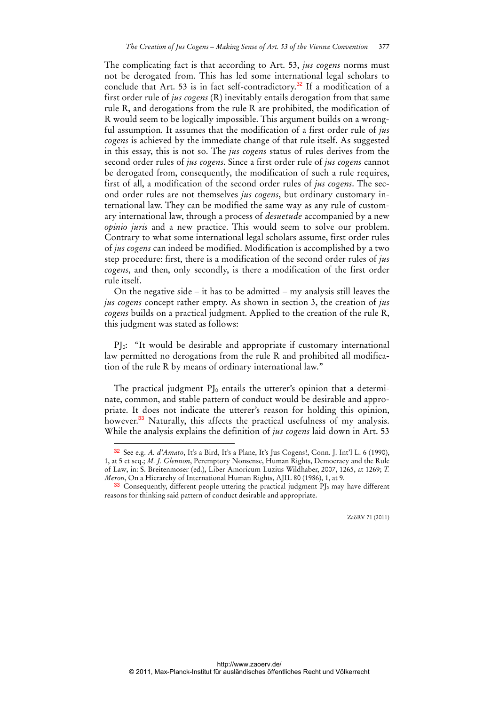The complicating fact is that according to Art. 53, *jus cogens* norms must not be derogated from. This has led some international legal scholars to conclude that Art. 53 is in fact self-contradictory.<sup>32</sup> If a modification of a first order rule of *jus cogens* (R) inevitably entails derogation from that same rule R, and derogations from the rule R are prohibited, the modification of R would seem to be logically impossible. This argument builds on a wrongful assumption. It assumes that the modification of a first order rule of *jus cogens* is achieved by the immediate change of that rule itself. As suggested in this essay, this is not so. The *jus cogens* status of rules derives from the second order rules of *jus cogens*. Since a first order rule of *jus cogens* cannot be derogated from, consequently, the modification of such a rule requires, first of all, a modification of the second order rules of *jus cogens*. The second order rules are not themselves *jus cogens*, but ordinary customary international law. They can be modified the same way as any rule of customary international law, through a process of *desuetude* accompanied by a new *opinio juris* and a new practice. This would seem to solve our problem. Contrary to what some international legal scholars assume, first order rules of *jus cogens* can indeed be modified. Modification is accomplished by a two step procedure: first, there is a modification of the second order rules of *jus cogens*, and then, only secondly, is there a modification of the first order rule itself.

On the negative side – it has to be admitted – my analysis still leaves the *jus cogens* concept rather empty. As shown in section 3, the creation of *jus cogens* builds on a practical judgment. Applied to the creation of the rule R, this judgment was stated as follows:

PJ0: "It would be desirable and appropriate if customary international law permitted no derogations from the rule R and prohibited all modification of the rule R by means of ordinary international law."

The practical judgment  $PI_0$  entails the utterer's opinion that a determinate, common, and stable pattern of conduct would be desirable and appropriate. It does not indicate the utterer's reason for holding this opinion, however.<sup>33</sup> Naturally, this affects the practical usefulness of my analysis. While the analysis explains the definition of *jus cogens* laid down in Art. 53

 $\overline{a}$ 

<sup>32</sup> See e.g. *A. d'Amato*, It's a Bird, It's a Plane, It's Jus Cogens!, Conn. J. Int'l L. 6 (1990), 1, at 5 et seq.; *M. J. Glennon*, Peremptory Nonsense, Human Rights, Democracy and the Rule of Law, in: S. Breitenmoser (ed.), Liber Amoricum Luzius Wildhaber, 2007, 1265, at 1269; *T. Meron*, On a Hierarchy of International Human Rights, AJIL 80 (1986), 1, at 9.

 $33$  Consequently, different people uttering the practical judgment PJ<sub>0</sub> may have different reasons for thinking said pattern of conduct desirable and appropriate.